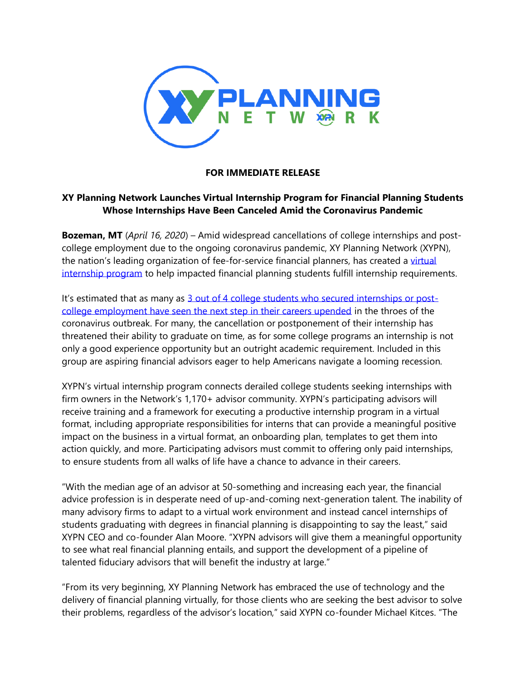

## **FOR IMMEDIATE RELEASE**

## **XY Planning Network Launches Virtual Internship Program for Financial Planning Students Whose Internships Have Been Canceled Amid the Coronavirus Pandemic**

**Bozeman, MT** (*April 16, 2020*) – Amid widespread cancellations of college internships and postcollege employment due to the ongoing coronavirus pandemic, XY Planning Network (XYPN), the nation's leading organization of fee-for-service financial planners, has created a virtual [internship program](http://www.xyplanningnetwork.com/internship-talent-pool) to help impacted financial planning students fulfill internship requirements.

It's estimated that as many as [3 out of 4 college students who secured internships or post](https://collegereaction.com/posts/most-student-jobs-have-been-canceled-delayed-or-digitized-by-coronavirus)[college employment have seen the next step in their careers upended](https://collegereaction.com/posts/most-student-jobs-have-been-canceled-delayed-or-digitized-by-coronavirus) in the throes of the coronavirus outbreak. For many, the cancellation or postponement of their internship has threatened their ability to graduate on time, as for some college programs an internship is not only a good experience opportunity but an outright academic requirement. Included in this group are aspiring financial advisors eager to help Americans navigate a looming recession.

XYPN's virtual internship program connects derailed college students seeking internships with firm owners in the Network's 1,170+ advisor community. XYPN's participating advisors will receive training and a framework for executing a productive internship program in a virtual format, including appropriate responsibilities for interns that can provide a meaningful positive impact on the business in a virtual format, an onboarding plan, templates to get them into action quickly, and more. Participating advisors must commit to offering only paid internships, to ensure students from all walks of life have a chance to advance in their careers.

"With the median age of an advisor at 50-something and increasing each year, the financial advice profession is in desperate need of up-and-coming next-generation talent. The inability of many advisory firms to adapt to a virtual work environment and instead cancel internships of students graduating with degrees in financial planning is disappointing to say the least," said XYPN CEO and co-founder Alan Moore. "XYPN advisors will give them a meaningful opportunity to see what real financial planning entails, and support the development of a pipeline of talented fiduciary advisors that will benefit the industry at large."

"From its very beginning, XY Planning Network has embraced the use of technology and the delivery of financial planning virtually, for those clients who are seeking the best advisor to solve their problems, regardless of the advisor's location," said XYPN co-founder Michael Kitces. "The